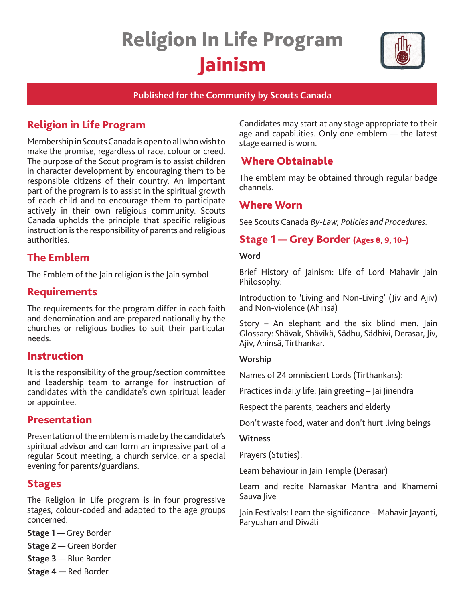# Religion In Life Program Jainism



### **Published for the Community by Scouts Canada**

# Religion in Life Program

Membership in Scouts Canada is open to all who wish to make the promise, regardless of race, colour or creed. The purpose of the Scout program is to assist children in character development by encouraging them to be responsible citizens of their country. An important part of the program is to assist in the spiritual growth of each child and to encourage them to participate actively in their own religious community. Scouts Canada upholds the principle that specific religious instruction is the responsibility of parents and religious authorities.

# The Emblem

The Emblem of the Jain religion is the Jain symbol.

## Requirements

The requirements for the program differ in each faith and denomination and are prepared nationally by the churches or religious bodies to suit their particular needs.

## Instruction

It is the responsibility of the group/section committee and leadership team to arrange for instruction of candidates with the candidate's own spiritual leader or appointee.

## Presentation

Presentation of the emblem is made by the candidate's spiritual advisor and can form an impressive part of a regular Scout meeting, a church service, or a special evening for parents/guardians.

## Stages

The Religion in Life program is in four progressive stages, colour-coded and adapted to the age groups concerned.

**Stage 1** — Grey Border

**Stage 2** — Green Border

- **Stage 3** Blue Border
- **Stage 4** Red Border

Candidates may start at any stage appropriate to their age and capabilities. Only one emblem — the latest stage earned is worn.

# Where Obtainable

The emblem may be obtained through regular badge channels.

## Where Worn

See Scouts Canada *By-Law, Policies and Procedures.* 

# Stage 1 — Grey Border (Ages 8, 9, 10–)

#### **Word**

Brief History of Jainism: Life of Lord Mahavir Jain Philosophy:

Introduction to 'Living and Non-Living' (Jiv and Ajiv) and Non-violence (Ahinsä)

Story – An elephant and the six blind men. Jain Glossary: Shävak, Shävikä, Sädhu, Sädhivi, Derasar, Jiv, Ajiv, Ahinsä, Tirthankar.

#### **Worship**

Names of 24 omniscient Lords (Tirthankars):

Practices in daily life: Jain greeting – Jai Jinendra

Respect the parents, teachers and elderly

Don't waste food, water and don't hurt living beings

#### **Witness**

Prayers (Stuties):

Learn behaviour in Jain Temple (Derasar)

Learn and recite Namaskar Mantra and Khamemi Sauva Jive

Jain Festivals: Learn the significance – Mahavir Jayanti, Paryushan and Diwäli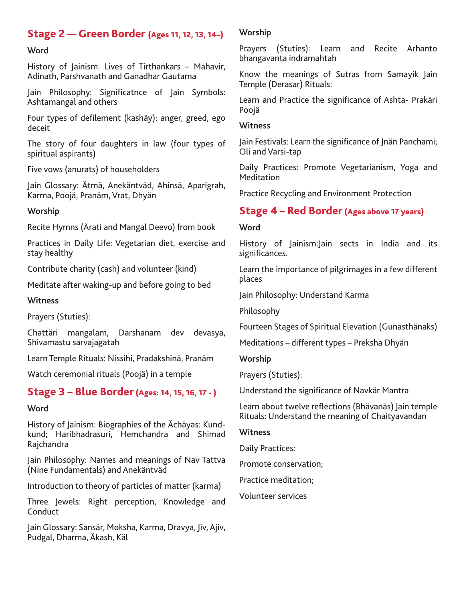# Stage 2 — Green Border (Ages 11, 12, 13, 14–)

#### **Word**

History of Jainism: Lives of Tirthankars – Mahavir, Adinath, Parshvanath and Ganadhar Gautama

Jain Philosophy: Significatnce of Jain Symbols: Ashtamangal and others

Four types of defilement (kashäy): anger, greed, ego deceit

The story of four daughters in law (four types of spiritual aspirants)

Five vows (anurats) of householders

Jain Glossary: Ätmä, Anekäntväd, Ahinsä, Aparigrah, Karma, Poojä, Pranäm, Vrat, Dhyän

#### **Worship**

Recite Hymns (Ärati and Mangal Deevo) from book

Practices in Daily Life: Vegetarian diet, exercise and stay healthy

Contribute charity (cash) and volunteer (kind)

Meditate after waking-up and before going to bed

**Witness**

Prayers (Stuties):

Chattäri mangalam, Darshanam dev devasya, Shivamastu sarvajagatah

Learn Temple Rituals: Nissihi, Pradakshinä, Pranäm

Watch ceremonial rituals (Poojä) in a temple

## Stage 3 – Blue Border (Ages: 14, 15, 16, 17 - )

#### **Word**

History of Jainism: Biographies of the Ächäyas: Kundkund; Haribhadrasuri, Hemchandra and Shimad Rajchandra

Jain Philosophy: Names and meanings of Nav Tattva (Nine Fundamentals) and Anekäntväd

Introduction to theory of particles of matter (karma)

Three Jewels: Right perception, Knowledge and Conduct

Jain Glossary: Sansär, Moksha, Karma, Dravya, Jiv, Ajiv, Pudgal, Dharma, Äkash, Käl

#### **Worship**

Prayers (Stuties): Learn and Recite Arhanto bhangavanta indramahtah

Know the meanings of Sutras from Samayik Jain Temple (Derasar) Rituals:

Learn and Practice the significance of Ashta- Prakäri Poojä

#### **Witness**

Jain Festivals: Learn the significance of Jnän Panchami; Oli and Varsi-tap

Daily Practices: Promote Vegetarianism, Yoga and Meditation

Practice Recycling and Environment Protection

## Stage 4 – Red Border (Ages above 17 years)

#### **Word**

History of Jainism:Jain sects in India and its significances.

Learn the importance of pilgrimages in a few different places

Jain Philosophy: Understand Karma

Philosophy

Fourteen Stages of Spiritual Elevation (Gunasthänaks)

Meditations – different types – Preksha Dhyän

**Worship**

Prayers (Stuties):

Understand the significance of Navkär Mantra

Learn about twelve reflections (Bhävanäs) Jain temple Rituals: Understand the meaning of Chaityavandan

#### **Witness**

Daily Practices:

Promote conservation;

Practice meditation;

Volunteer services